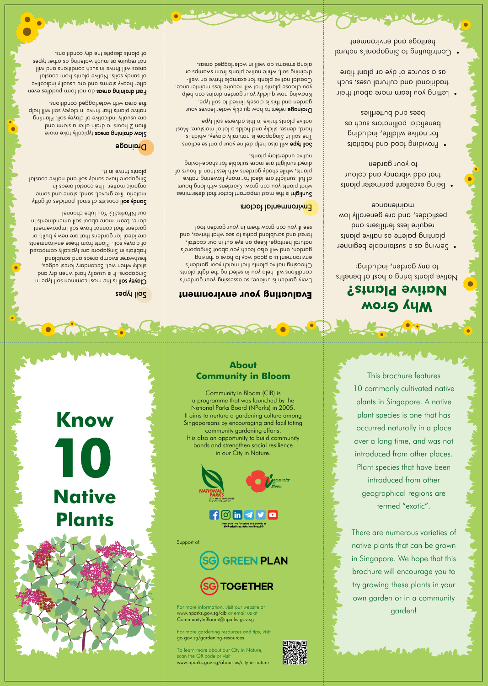This brochure features 10 commonly cultivated native plants in Singapore. A native plant species is one that has occurred naturally in a place over a long time, and was not introduced from other places. Plant species that have been introduced from other geographical regions are termed "exotic".

### **10 Know Native**



There are numerous varieties of native plants that can be grown in Singapore. We hope that this brochure will encourage you to try growing these plants in your own garden or in a community garden!





### **About Community in Bloom**

Community in Bloom (CIB) is a programme that was launched by the National Parks Board (NParks) in 2005. It aims to nurture a gardening culture among Singaporeans by encouraging and facilitating community gardening efforts. It is also an opportunity to build community bonds and strengthen social resilience in our City in Nature.

For more information, visit our website at www.nparks.gov.sg/cib or email us at CommunityInBloom@nparks.gov.sg

For more gardening resources and tips, visit go.gov.sg/gardening-resources

To learn more about our City in Nature, scan the QR code or visit www.nparks.gov.sg/about-us/city-in-nature



Support of:

**GREEN PLAN** 



### **Why Grow Native Plants?**

Native plants bring a host of benefits to any garden, including:

sonimeteb to the most important from that in the more sensions and the most important that  $\alpha$ what plants you can grow. Gardens with long hours of full sunlight are ideal for many flowering native  $p$  is shall and than  $p$  and  $p$  and  $p$  and  $p$  and  $q$  and  $q$ direct sunlight are more suitable for shade-loving native understory plants.

Soil type will also help define your plant selections. The soil in Singapore is naturally clayey, which is hard, dense, sticky and holds a lot of moisture. Most native plants thrive in this adverse soil type.

**Drainage** refers to how quickly water leaves your garden and this is closely linked to soil type. Knowing how quickly your garden drains can help you choose plant sthat will require less maintenance. -lləw no əvindt əlqmpxə not ztnplq əvitpn lptzpo $\mathcal{Q}$ draining soil, while native plants from swamps or along streams do well in waterlogged areas.

- Serving as a sustainable beginner planting bale as a support and the state as bno *ensilitet* asel eniupen pesticides, and are generally low manueunce
- Being excellent perimeter plants that add vibrancy and colour to your garden
- Providing food and habitats for native wildlife, including beneficial pollinators such as bees aug putterflies
- Letting you learn more about their traditional and cultural uses, such as a source of dye or plant fibre
- **Contributing to Singapore's natural** heritage and environment

### **Evaluating your environment**

Slow draining areas typically take more than 2 hours to drain aims at an and than are usually indicative of clayey soil. Planting native plants that thrive in clayey soil will help the area with waterlogged conditions.

> Every garden is unique, so assessing your garden's conditions will help you in selecting their and the right resets. Choosing native plants that match your garden's environment is a good way to have a thriving garden, and will also teach you about Singapore's natural heritage. Keep an eye out in our coastal, forest and scrubland parks to see what thrives, and see if you can grow them in your garden too!

### Environmental factors

Fast draining areas do not ton op deles even avitosibni yllouzu and are usually indicative of sandy soils. Native plants from coastal areas will thrive in such conditions and will not require as much watering as other types of plants despite the dry conditions.

### Soil types

Clayey soil is the most common soil in equal or Singapore. It is usually hard when and paper sticky when wet. Secondary forest edges, freshwater swamp areas and scrubland habitats in Singapore are typically composed of clayey soil. Plants from these environments are ideal for gardens that are newly built, or gardens that cannot hore soil improvement done. Learn more about soil amendments in our NParksSG YouTube channel.

constand for separation and the set set of the Sandy Sandy Sandy S material like gravel, sand, stone and some organic matter. The coastal areas in Singapore have sandy soil and native coastal plants thrive in it.

### Drainage